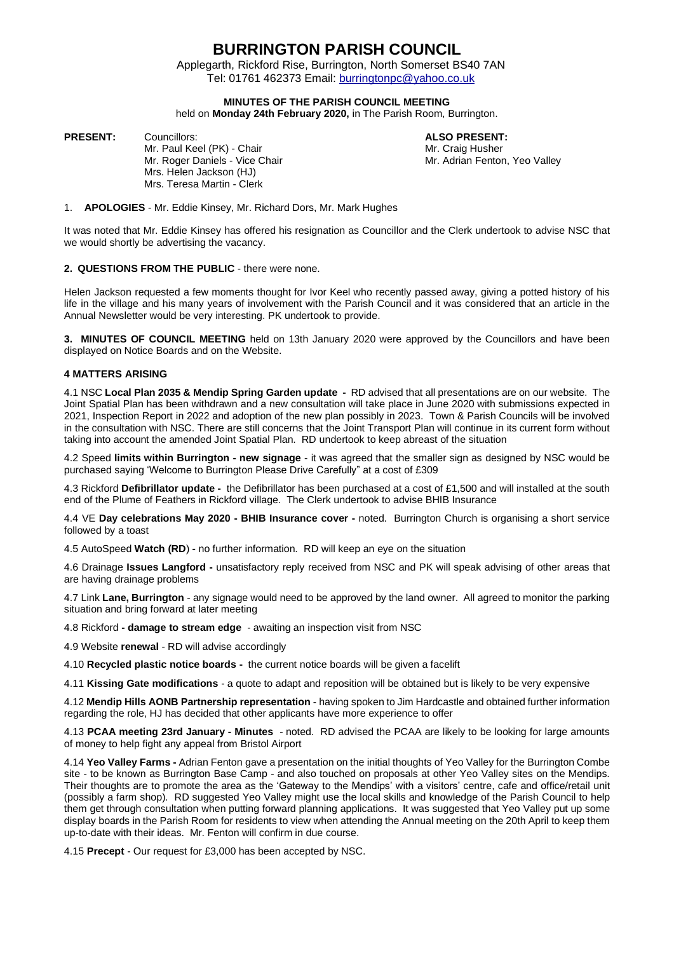## **BURRINGTON PARISH COUNCIL**

 Applegarth, Rickford Rise, Burrington, North Somerset BS40 7AN Tel: 01761 462373 Email: [burringtonpc@yahoo.co.uk](mailto:burringtonpc@yahoo.co.uk)

### **MINUTES OF THE PARISH COUNCIL MEETING**

held on **Monday 24th February 2020,** in The Parish Room, Burrington.

**PRESENT:** Councillors: **ALSO PRESENT:**

Mr. Paul Keel (PK) - Chair Microsoft Chair Mr. Craig Husher<br>Mr. Roger Daniels - Vice Chair Mr. Adrian Fenton, Yeo Valley Mr. Roger Daniels - Vice Chair Mrs. Helen Jackson (HJ) Mrs. Teresa Martin - Clerk

1. **APOLOGIES** - Mr. Eddie Kinsey, Mr. Richard Dors, Mr. Mark Hughes

It was noted that Mr. Eddie Kinsey has offered his resignation as Councillor and the Clerk undertook to advise NSC that we would shortly be advertising the vacancy.

#### **2. QUESTIONS FROM THE PUBLIC** - there were none.

Helen Jackson requested a few moments thought for Ivor Keel who recently passed away, giving a potted history of his life in the village and his many years of involvement with the Parish Council and it was considered that an article in the Annual Newsletter would be very interesting. PK undertook to provide.

**3. MINUTES OF COUNCIL MEETING** held on 13th January 2020 were approved by the Councillors and have been displayed on Notice Boards and on the Website.

#### **4 MATTERS ARISING**

4.1 NSC **Local Plan 2035 & Mendip Spring Garden update -** RD advised that all presentations are on our website. The Joint Spatial Plan has been withdrawn and a new consultation will take place in June 2020 with submissions expected in 2021, Inspection Report in 2022 and adoption of the new plan possibly in 2023. Town & Parish Councils will be involved in the consultation with NSC. There are still concerns that the Joint Transport Plan will continue in its current form without taking into account the amended Joint Spatial Plan. RD undertook to keep abreast of the situation

4.2 Speed **limits within Burrington - new signage** - it was agreed that the smaller sign as designed by NSC would be purchased saying 'Welcome to Burrington Please Drive Carefully" at a cost of £309

4.3 Rickford **Defibrillator update -** the Defibrillator has been purchased at a cost of £1,500 and will installed at the south end of the Plume of Feathers in Rickford village. The Clerk undertook to advise BHIB Insurance

4.4 VE **Day celebrations May 2020 - BHIB Insurance cover -** noted. Burrington Church is organising a short service followed by a toast

4.5 AutoSpeed **Watch (RD**) **-** no further information. RD will keep an eye on the situation

4.6 Drainage **Issues Langford -** unsatisfactory reply received from NSC and PK will speak advising of other areas that are having drainage problems

4.7 Link **Lane, Burrington** - any signage would need to be approved by the land owner. All agreed to monitor the parking situation and bring forward at later meeting

4.8 Rickford **- damage to stream edge** - awaiting an inspection visit from NSC

4.9 Website **renewal** - RD will advise accordingly

4.10 **Recycled plastic notice boards -** the current notice boards will be given a facelift

4.11 **Kissing Gate modifications** - a quote to adapt and reposition will be obtained but is likely to be very expensive

4.12 **Mendip Hills AONB Partnership representation** - having spoken to Jim Hardcastle and obtained further information regarding the role, HJ has decided that other applicants have more experience to offer

4.13 **PCAA meeting 23rd January - Minutes** - noted. RD advised the PCAA are likely to be looking for large amounts of money to help fight any appeal from Bristol Airport

4.14 **Yeo Valley Farms -** Adrian Fenton gave a presentation on the initial thoughts of Yeo Valley for the Burrington Combe site - to be known as Burrington Base Camp - and also touched on proposals at other Yeo Valley sites on the Mendips. Their thoughts are to promote the area as the 'Gateway to the Mendips' with a visitors' centre, cafe and office/retail unit (possibly a farm shop). RD suggested Yeo Valley might use the local skills and knowledge of the Parish Council to help them get through consultation when putting forward planning applications. It was suggested that Yeo Valley put up some display boards in the Parish Room for residents to view when attending the Annual meeting on the 20th April to keep them up-to-date with their ideas. Mr. Fenton will confirm in due course.

4.15 **Precept** - Our request for £3,000 has been accepted by NSC.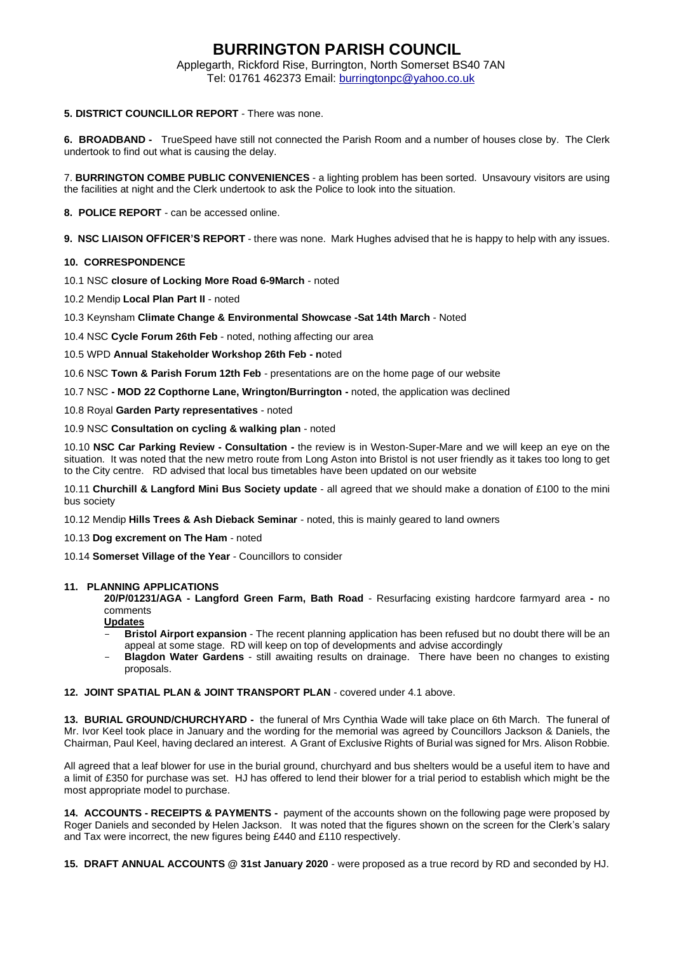## **BURRINGTON PARISH COUNCIL**

 Applegarth, Rickford Rise, Burrington, North Somerset BS40 7AN Tel: 01761 462373 Email: [burringtonpc@yahoo.co.uk](mailto:burringtonpc@yahoo.co.uk)

### **5. DISTRICT COUNCILLOR REPORT** - There was none.

**6. BROADBAND -** TrueSpeed have still not connected the Parish Room and a number of houses close by. The Clerk undertook to find out what is causing the delay.

7. **BURRINGTON COMBE PUBLIC CONVENIENCES** - a lighting problem has been sorted. Unsavoury visitors are using the facilities at night and the Clerk undertook to ask the Police to look into the situation.

**8. POLICE REPORT** - can be accessed online.

**9. NSC LIAISON OFFICER'S REPORT** - there was none. Mark Hughes advised that he is happy to help with any issues.

### **10. CORRESPONDENCE**

10.1 NSC **closure of Locking More Road 6-9March** - noted

10.2 Mendip **Local Plan Part II** - noted

10.3 Keynsham **Climate Change & Environmental Showcase -Sat 14th March** - Noted

10.4 NSC **Cycle Forum 26th Feb** - noted, nothing affecting our area

10.5 WPD **Annual Stakeholder Workshop 26th Feb - n**oted

10.6 NSC **Town & Parish Forum 12th Feb** - presentations are on the home page of our website

10.7 NSC **- MOD 22 Copthorne Lane, Wrington/Burrington -** noted, the application was declined

10.8 Royal **Garden Party representatives** - noted

10.9 NSC **Consultation on cycling & walking plan** - noted

10.10 **NSC Car Parking Review - Consultation -** the review is in Weston-Super-Mare and we will keep an eye on the situation. It was noted that the new metro route from Long Aston into Bristol is not user friendly as it takes too long to get to the City centre. RD advised that local bus timetables have been updated on our website

10.11 **Churchill & Langford Mini Bus Society update** - all agreed that we should make a donation of £100 to the mini bus society

10.12 Mendip **Hills Trees & Ash Dieback Seminar** - noted, this is mainly geared to land owners

10.13 **Dog excrement on The Ham** - noted

10.14 **Somerset Village of the Year** - Councillors to consider

#### **11. PLANNING APPLICATIONS**

**20/P/01231/AGA - Langford Green Farm, Bath Road** - Resurfacing existing hardcore farmyard area **-** no comments

**Updates**

- **Bristol Airport expansion** The recent planning application has been refused but no doubt there will be an appeal at some stage. RD will keep on top of developments and advise accordingly
- **Blagdon Water Gardens** still awaiting results on drainage. There have been no changes to existing proposals.

#### **12. JOINT SPATIAL PLAN & JOINT TRANSPORT PLAN** - covered under 4.1 above.

**13. BURIAL GROUND/CHURCHYARD -** the funeral of Mrs Cynthia Wade will take place on 6th March. The funeral of Mr. Ivor Keel took place in January and the wording for the memorial was agreed by Councillors Jackson & Daniels, the Chairman, Paul Keel, having declared an interest. A Grant of Exclusive Rights of Burial was signed for Mrs. Alison Robbie.

All agreed that a leaf blower for use in the burial ground, churchyard and bus shelters would be a useful item to have and a limit of £350 for purchase was set. HJ has offered to lend their blower for a trial period to establish which might be the most appropriate model to purchase.

**14. ACCOUNTS - RECEIPTS & PAYMENTS -** payment of the accounts shown on the following page were proposed by Roger Daniels and seconded by Helen Jackson. It was noted that the figures shown on the screen for the Clerk's salary and Tax were incorrect, the new figures being £440 and £110 respectively.

**15. DRAFT ANNUAL ACCOUNTS @ 31st January 2020** - were proposed as a true record by RD and seconded by HJ.